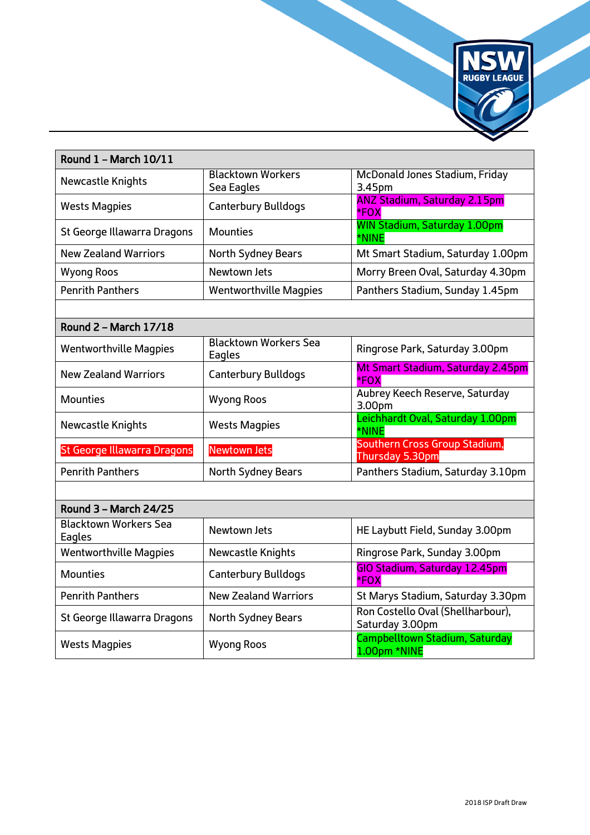

| Round 1 - March 10/11                  |                                        |                                                      |  |
|----------------------------------------|----------------------------------------|------------------------------------------------------|--|
| Newcastle Knights                      | <b>Blacktown Workers</b><br>Sea Eagles | McDonald Jones Stadium, Friday<br>3.45pm             |  |
| <b>Wests Magpies</b>                   | <b>Canterbury Bulldogs</b>             | <b>ANZ Stadium, Saturday 2.15pm</b><br>*FOX          |  |
| St George Illawarra Dragons            | <b>Mounties</b>                        | <b>WIN Stadium, Saturday 1.00pm</b><br>*NINE         |  |
| <b>New Zealand Warriors</b>            | North Sydney Bears                     | Mt Smart Stadium, Saturday 1.00pm                    |  |
| <b>Wyong Roos</b>                      | Newtown Jets                           | Morry Breen Oval, Saturday 4.30pm                    |  |
| <b>Penrith Panthers</b>                | <b>Wentworthville Magpies</b>          | Panthers Stadium, Sunday 1.45pm                      |  |
|                                        |                                        |                                                      |  |
| Round 2 - March 17/18                  |                                        |                                                      |  |
| <b>Wentworthville Magpies</b>          | <b>Blacktown Workers Sea</b><br>Eagles | Ringrose Park, Saturday 3.00pm                       |  |
| <b>New Zealand Warriors</b>            | <b>Canterbury Bulldogs</b>             | Mt Smart Stadium, Saturday 2.45pm<br>*FOX            |  |
| <b>Mounties</b>                        | <b>Wyong Roos</b>                      | Aubrey Keech Reserve, Saturday<br>3.00pm             |  |
| Newcastle Knights                      | <b>Wests Magpies</b>                   | Leichhardt Oval, Saturday 1.00pm<br>*NINE            |  |
| <b>St George Illawarra Dragons</b>     | <b>Newtown Jets</b>                    | Southern Cross Group Stadium,<br>Thursday 5.30pm     |  |
| <b>Penrith Panthers</b>                | North Sydney Bears                     | Panthers Stadium, Saturday 3.10pm                    |  |
|                                        |                                        |                                                      |  |
| Round 3 - March 24/25                  |                                        |                                                      |  |
| <b>Blacktown Workers Sea</b><br>Eagles | Newtown Jets                           | HE Laybutt Field, Sunday 3.00pm                      |  |
| <b>Wentworthville Magpies</b>          | <b>Newcastle Knights</b>               | Ringrose Park, Sunday 3.00pm                         |  |
| <b>Mounties</b>                        | <b>Canterbury Bulldogs</b>             | GIO Stadium, Saturday 12.45pm<br>*FOX                |  |
| <b>Penrith Panthers</b>                | <b>New Zealand Warriors</b>            | St Marys Stadium, Saturday 3.30pm                    |  |
| St George Illawarra Dragons            | North Sydney Bears                     | Ron Costello Oval (Shellharbour),<br>Saturday 3.00pm |  |
| <b>Wests Magpies</b>                   | <b>Wyong Roos</b>                      | Campbelltown Stadium, Saturday<br>1.00pm *NINE       |  |

٦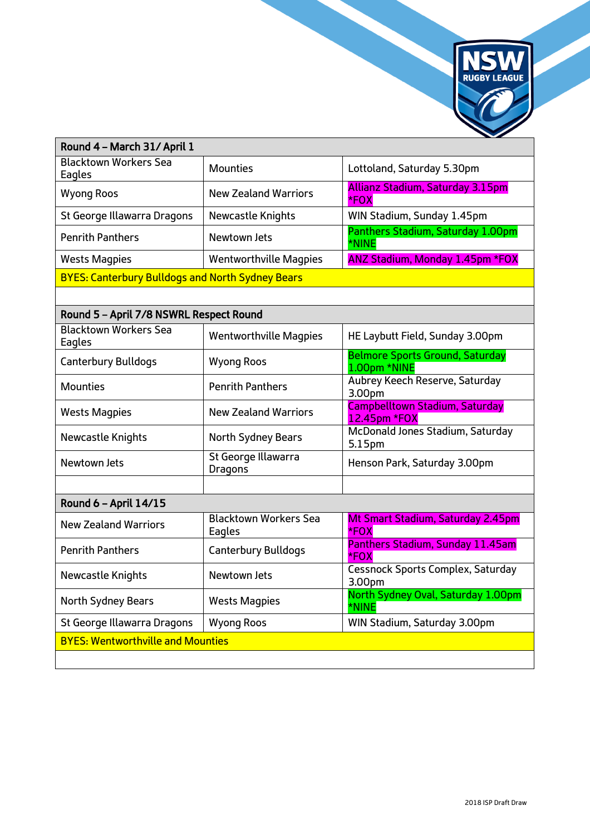

| Round 4 - March 31/ April 1                             |                                        |                                                        |  |
|---------------------------------------------------------|----------------------------------------|--------------------------------------------------------|--|
| <b>Blacktown Workers Sea</b><br>Eagles                  | <b>Mounties</b>                        | Lottoland, Saturday 5.30pm                             |  |
| <b>Wyong Roos</b>                                       | <b>New Zealand Warriors</b>            | Allianz Stadium, Saturday 3.15pm<br>*FOX               |  |
| St George Illawarra Dragons                             | Newcastle Knights                      | WIN Stadium, Sunday 1.45pm                             |  |
| <b>Penrith Panthers</b>                                 | Newtown Jets                           | Panthers Stadium, Saturday 1.00pm<br>*NINE             |  |
| <b>Wests Magpies</b>                                    | <b>Wentworthville Magpies</b>          | <b>ANZ Stadium, Monday 1.45pm *FOX</b>                 |  |
| <b>BYES: Canterbury Bulldogs and North Sydney Bears</b> |                                        |                                                        |  |
|                                                         |                                        |                                                        |  |
| Round 5 - April 7/8 NSWRL Respect Round                 |                                        |                                                        |  |
| <b>Blacktown Workers Sea</b><br>Eagles                  | <b>Wentworthville Magpies</b>          | HE Laybutt Field, Sunday 3.00pm                        |  |
| <b>Canterbury Bulldogs</b>                              | <b>Wyong Roos</b>                      | <b>Belmore Sports Ground, Saturday</b><br>1.00pm *NINE |  |
| <b>Mounties</b>                                         | <b>Penrith Panthers</b>                | Aubrey Keech Reserve, Saturday<br>3.00pm               |  |
| <b>Wests Magpies</b>                                    | <b>New Zealand Warriors</b>            | <b>Campbelltown Stadium, Saturday</b><br>12.45pm *FOX  |  |
| Newcastle Knights                                       | North Sydney Bears                     | McDonald Jones Stadium, Saturday<br>5.15pm             |  |
| Newtown Jets                                            | St George Illawarra<br>Dragons         | Henson Park, Saturday 3.00pm                           |  |
|                                                         |                                        |                                                        |  |
| Round 6 - April 14/15                                   |                                        |                                                        |  |
| <b>New Zealand Warriors</b>                             | <b>Blacktown Workers Sea</b><br>Eagles | Mt Smart Stadium, Saturday 2.45pm<br>*FOX              |  |
| <b>Penrith Panthers</b>                                 | <b>Canterbury Bulldogs</b>             | Panthers Stadium, Sunday 11.45am<br>*FOX               |  |
| Newcastle Knights                                       | Newtown Jets                           | Cessnock Sports Complex, Saturday<br>3.00pm            |  |
| North Sydney Bears                                      | <b>Wests Magpies</b>                   | North Sydney Oval, Saturday 1.00pm<br>*NINE            |  |
| St George Illawarra Dragons                             | <b>Wyong Roos</b>                      | WIN Stadium, Saturday 3.00pm                           |  |
| <b>BYES: Wentworthville and Mounties</b>                |                                        |                                                        |  |
|                                                         |                                        |                                                        |  |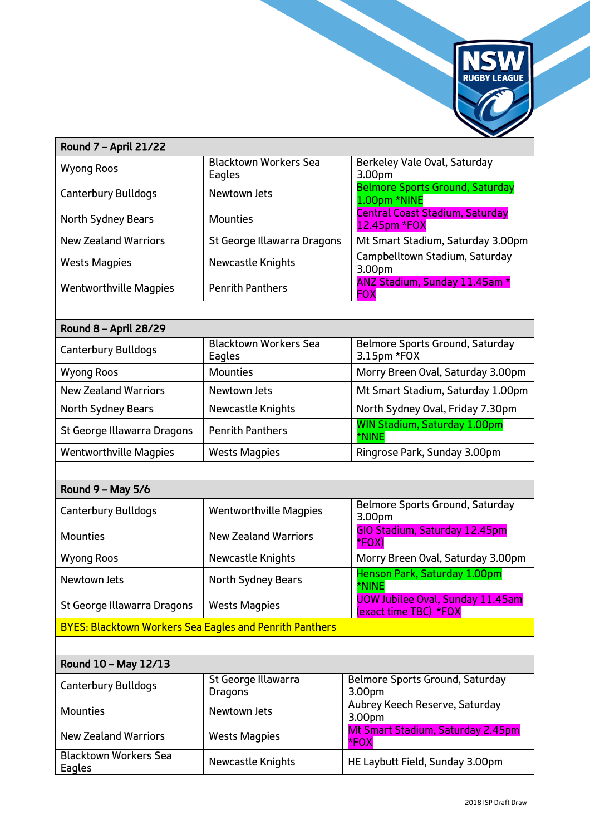

| Round 7 - April 21/22                                          |                                        | $\overline{\phantom{a}}$                                         |  |
|----------------------------------------------------------------|----------------------------------------|------------------------------------------------------------------|--|
| <b>Wyong Roos</b>                                              | <b>Blacktown Workers Sea</b><br>Eagles | Berkeley Vale Oval, Saturday<br>3.00pm                           |  |
| <b>Canterbury Bulldogs</b>                                     | Newtown Jets                           | <b>Belmore Sports Ground, Saturday</b><br>1.00pm *NINE           |  |
| North Sydney Bears                                             | <b>Mounties</b>                        | <b>Central Coast Stadium, Saturday</b><br>12.45pm *FOX           |  |
| <b>New Zealand Warriors</b>                                    | St George Illawarra Dragons            | Mt Smart Stadium, Saturday 3.00pm                                |  |
| <b>Wests Magpies</b>                                           | Newcastle Knights                      | Campbelltown Stadium, Saturday<br>3.00pm                         |  |
| <b>Wentworthville Magpies</b>                                  | <b>Penrith Panthers</b>                | ANZ Stadium, Sunday 11.45am *<br><b>FOX</b>                      |  |
|                                                                |                                        |                                                                  |  |
| Round 8 - April 28/29                                          |                                        |                                                                  |  |
| <b>Canterbury Bulldogs</b>                                     | <b>Blacktown Workers Sea</b><br>Eagles | Belmore Sports Ground, Saturday<br>3.15pm *FOX                   |  |
| <b>Wyong Roos</b>                                              | <b>Mounties</b>                        | Morry Breen Oval, Saturday 3.00pm                                |  |
| <b>New Zealand Warriors</b>                                    | Newtown Jets                           | Mt Smart Stadium, Saturday 1.00pm                                |  |
| North Sydney Bears                                             | Newcastle Knights                      | North Sydney Oval, Friday 7.30pm                                 |  |
| St George Illawarra Dragons                                    | <b>Penrith Panthers</b>                | <b>WIN Stadium, Saturday 1.00pm</b><br>*NINE                     |  |
| <b>Wentworthville Magpies</b>                                  | <b>Wests Magpies</b>                   | Ringrose Park, Sunday 3.00pm                                     |  |
|                                                                |                                        |                                                                  |  |
| Round 9 - May 5/6                                              |                                        |                                                                  |  |
| <b>Canterbury Bulldogs</b>                                     | <b>Wentworthville Magpies</b>          | Belmore Sports Ground, Saturday<br>3.00pm                        |  |
| <b>Mounties</b>                                                | <b>New Zealand Warriors</b>            | GIO Stadium, Saturday 12.45pm<br>*FOX)                           |  |
| <b>Wyong Roos</b>                                              | Newcastle Knights                      | Morry Breen Oval, Saturday 3.00pm                                |  |
| Newtown Jets                                                   | North Sydney Bears                     | Henson Park, Saturday 1.00pm<br>*NINE                            |  |
| St George Illawarra Dragons                                    | <b>Wests Magpies</b>                   | <b>UOW Jubilee Oval, Sunday 11.45am</b><br>(exact time TBC) *FOX |  |
| <b>BYES: Blacktown Workers Sea Eagles and Penrith Panthers</b> |                                        |                                                                  |  |
|                                                                |                                        |                                                                  |  |
| Round 10 - May 12/13                                           |                                        |                                                                  |  |
| <b>Canterbury Bulldogs</b>                                     | St George Illawarra<br><b>Dragons</b>  | Belmore Sports Ground, Saturday<br>3.00pm                        |  |
| <b>Mounties</b>                                                | Newtown Jets                           | Aubrey Keech Reserve, Saturday<br>3.00pm                         |  |
| <b>New Zealand Warriors</b>                                    | <b>Wests Magpies</b>                   | Mt Smart Stadium, Saturday 2.45pm<br>*FOX                        |  |
| <b>Blacktown Workers Sea</b><br>Eagles                         | Newcastle Knights                      | HE Laybutt Field, Sunday 3.00pm                                  |  |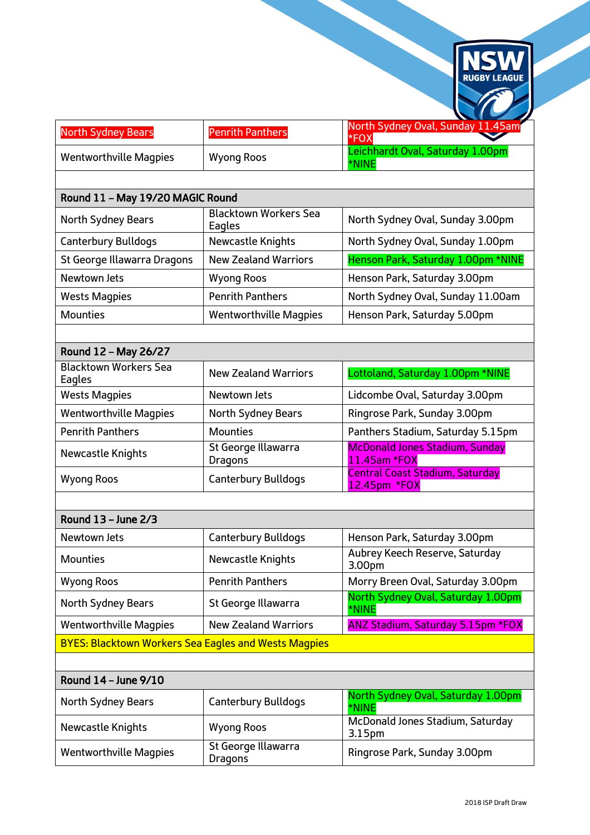

| <b>North Sydney Bears</b>                                   | <b>Penrith Panthers</b>                | North Sydney Oval, Sunday 11.45am<br>*FOX              |
|-------------------------------------------------------------|----------------------------------------|--------------------------------------------------------|
| <b>Wentworthville Magpies</b>                               | <b>Wyong Roos</b>                      | Leichhardt Oval, Saturday 1.00pm<br>*NINE              |
|                                                             |                                        |                                                        |
| Round 11 - May 19/20 MAGIC Round                            |                                        |                                                        |
| <b>North Sydney Bears</b>                                   | <b>Blacktown Workers Sea</b><br>Eagles | North Sydney Oval, Sunday 3.00pm                       |
| <b>Canterbury Bulldogs</b>                                  | Newcastle Knights                      | North Sydney Oval, Sunday 1.00pm                       |
| St George Illawarra Dragons                                 | <b>New Zealand Warriors</b>            | Henson Park, Saturday 1.00pm *NINE                     |
| Newtown Jets                                                | <b>Wyong Roos</b>                      | Henson Park, Saturday 3.00pm                           |
| <b>Wests Magpies</b>                                        | <b>Penrith Panthers</b>                | North Sydney Oval, Sunday 11.00am                      |
| <b>Mounties</b>                                             | <b>Wentworthville Magpies</b>          | Henson Park, Saturday 5.00pm                           |
|                                                             |                                        |                                                        |
| Round 12 - May 26/27                                        |                                        |                                                        |
| <b>Blacktown Workers Sea</b><br>Eagles                      | <b>New Zealand Warriors</b>            | Lottoland, Saturday 1.00pm *NINE                       |
| <b>Wests Magpies</b>                                        | Newtown Jets                           | Lidcombe Oval, Saturday 3.00pm                         |
| <b>Wentworthville Magpies</b>                               | North Sydney Bears                     | Ringrose Park, Sunday 3.00pm                           |
| <b>Penrith Panthers</b>                                     | <b>Mounties</b>                        | Panthers Stadium, Saturday 5.15pm                      |
| Newcastle Knights                                           | St George Illawarra<br><b>Dragons</b>  | <b>McDonald Jones Stadium, Sunday</b><br>11.45am *FOX  |
| <b>Wyong Roos</b>                                           | <b>Canterbury Bulldogs</b>             | <b>Central Coast Stadium, Saturday</b><br>12.45pm *FOX |
|                                                             |                                        |                                                        |
| Round 13 - June 2/3                                         |                                        |                                                        |
| Newtown Jets                                                | <b>Canterbury Bulldogs</b>             | Henson Park, Saturday 3.00pm                           |
| <b>Mounties</b>                                             | Newcastle Knights                      | Aubrey Keech Reserve, Saturday<br>3.00pm               |
| <b>Wyong Roos</b>                                           | <b>Penrith Panthers</b>                | Morry Breen Oval, Saturday 3.00pm                      |
| North Sydney Bears                                          | St George Illawarra                    | North Sydney Oval, Saturday 1.00pm<br>*NINE            |
| <b>Wentworthville Magpies</b>                               | <b>New Zealand Warriors</b>            | <b>ANZ Stadium, Saturday 5.15pm *FOX</b>               |
| <b>BYES: Blacktown Workers Sea Eagles and Wests Magpies</b> |                                        |                                                        |
|                                                             |                                        |                                                        |
| Round 14 - June 9/10                                        |                                        |                                                        |
| North Sydney Bears                                          | <b>Canterbury Bulldogs</b>             | North Sydney Oval, Saturday 1.00pm<br>*NINE            |
| Newcastle Knights                                           | <b>Wyong Roos</b>                      | McDonald Jones Stadium, Saturday<br>3.15pm             |
| <b>Wentworthville Magpies</b>                               | St George Illawarra<br><b>Dragons</b>  | Ringrose Park, Sunday 3.00pm                           |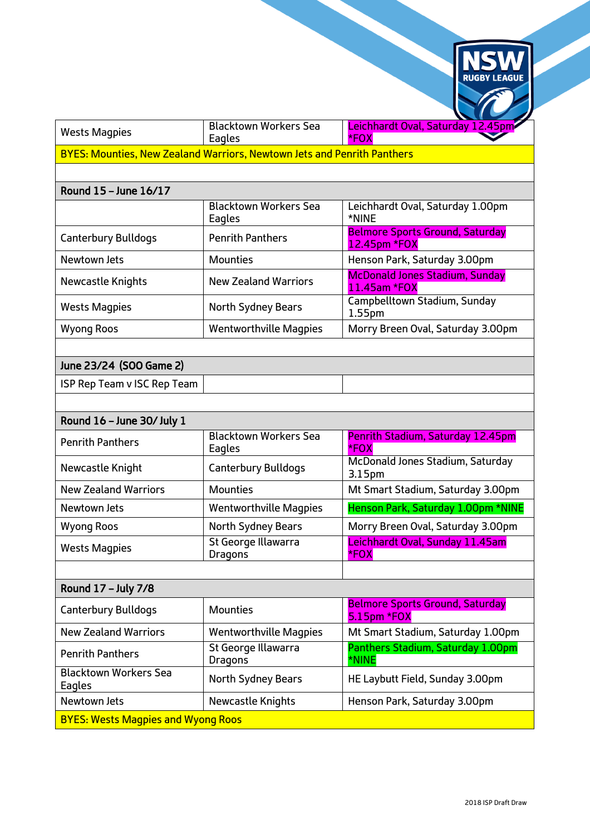

| <b>Wests Magpies</b>                                                           | Blacktown Workers Sea | Leichhardt Oval, Saturday 12.45pm |  |
|--------------------------------------------------------------------------------|-----------------------|-----------------------------------|--|
|                                                                                | Eagles                | $*FOX$                            |  |
| <b>BYES: Mounties, New Zealand Warriors, Newtown Jets and Penrith Panthers</b> |                       |                                   |  |

## Round 15 – June 16/17

|                            | <b>Blacktown Workers Sea</b><br>Eagles | Leichhardt Oval, Saturday 1.00pm<br>*NINE              |
|----------------------------|----------------------------------------|--------------------------------------------------------|
| <b>Canterbury Bulldogs</b> | <b>Penrith Panthers</b>                | <b>Belmore Sports Ground, Saturday</b><br>12.45pm *FOX |
| Newtown Jets               | <b>Mounties</b>                        | Henson Park, Saturday 3.00pm                           |
| Newcastle Knights          | <b>New Zealand Warriors</b>            | <b>McDonald Jones Stadium, Sunday</b><br>11.45am *FOX  |
| <b>Wests Magpies</b>       | <b>North Sydney Bears</b>              | Campbelltown Stadium, Sunday<br>1.55 <sub>pm</sub>     |
| <b>Wyong Roos</b>          | <b>Wentworthville Magpies</b>          | Morry Breen Oval, Saturday 3.00pm                      |

## June 23/24 (SOO Game 2)

| ISP Rep Team v ISC Rep Team |  |  |  |  |
|-----------------------------|--|--|--|--|
|-----------------------------|--|--|--|--|

| Round 16 - June 30/ July 1                |                                        |                                                        |
|-------------------------------------------|----------------------------------------|--------------------------------------------------------|
| <b>Penrith Panthers</b>                   | <b>Blacktown Workers Sea</b><br>Eagles | Penrith Stadium, Saturday 12.45pm<br>*FOX              |
| Newcastle Knight                          | <b>Canterbury Bulldogs</b>             | McDonald Jones Stadium, Saturday<br>3.15 <sub>pm</sub> |
| <b>New Zealand Warriors</b>               | <b>Mounties</b>                        | Mt Smart Stadium, Saturday 3.00pm                      |
| Newtown Jets                              | <b>Wentworthville Magpies</b>          | Henson Park, Saturday 1.00pm *NINE                     |
| <b>Wyong Roos</b>                         | North Sydney Bears                     | Morry Breen Oval, Saturday 3.00pm                      |
| <b>Wests Magpies</b>                      | St George Illawarra<br>Dragons         | Leichhardt Oval, Sunday 11.45am<br>*FOX                |
|                                           |                                        |                                                        |
| Round 17 - July 7/8                       |                                        |                                                        |
| Canterbury Bulldogs                       | <b>Mounties</b>                        | <b>Belmore Sports Ground, Saturday</b><br>5.15pm *FOX  |
| <b>New Zealand Warriors</b>               | <b>Wentworthville Magpies</b>          | Mt Smart Stadium, Saturday 1.00pm                      |
| <b>Penrith Panthers</b>                   | St George Illawarra<br>Dragons         | Panthers Stadium, Saturday 1.00pm<br>*NINE             |
| <b>Blacktown Workers Sea</b><br>Eagles    | North Sydney Bears                     | HE Laybutt Field, Sunday 3.00pm                        |
| Newtown Jets                              | Newcastle Knights                      | Henson Park, Saturday 3.00pm                           |
| <b>BYES: Wests Magpies and Wyong Roos</b> |                                        |                                                        |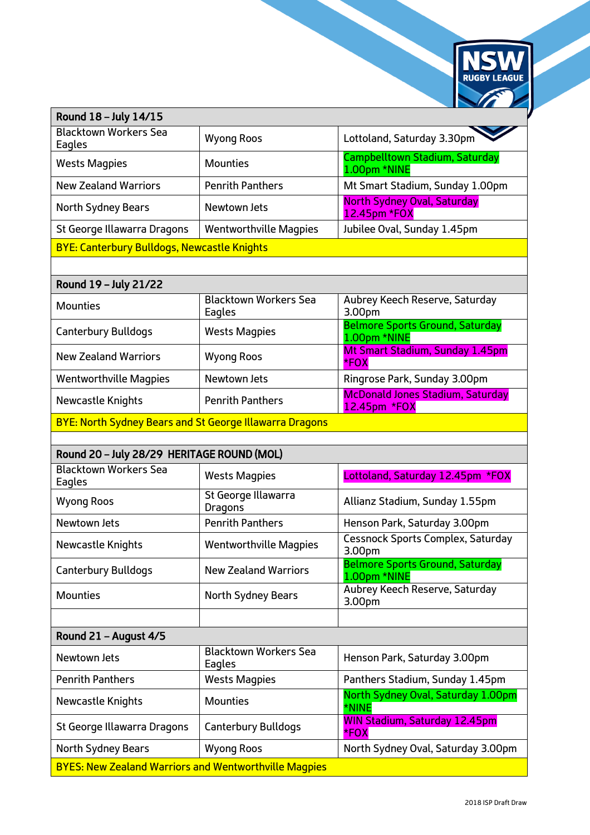

| Round 18 - July 14/15                                          |                                        |                                                         |  |
|----------------------------------------------------------------|----------------------------------------|---------------------------------------------------------|--|
| <b>Blacktown Workers Sea</b><br>Eagles                         | <b>Wyong Roos</b>                      | Lottoland, Saturday 3.30pm                              |  |
| <b>Wests Magpies</b>                                           | <b>Mounties</b>                        | Campbelltown Stadium, Saturday<br>1.00pm *NINE          |  |
| <b>New Zealand Warriors</b>                                    | <b>Penrith Panthers</b>                | Mt Smart Stadium, Sunday 1.00pm                         |  |
| North Sydney Bears                                             | Newtown Jets                           | <b>North Sydney Oval, Saturday</b><br>12.45pm *FOX      |  |
| St George Illawarra Dragons                                    | <b>Wentworthville Magpies</b>          | Jubilee Oval, Sunday 1.45pm                             |  |
| <b>BYE: Canterbury Bulldogs, Newcastle Knights</b>             |                                        |                                                         |  |
|                                                                |                                        |                                                         |  |
| Round 19 - July 21/22                                          |                                        |                                                         |  |
| <b>Mounties</b>                                                | <b>Blacktown Workers Sea</b><br>Eagles | Aubrey Keech Reserve, Saturday<br>3.00pm                |  |
| Canterbury Bulldogs                                            | <b>Wests Magpies</b>                   | <b>Belmore Sports Ground, Saturday</b><br>1.00pm *NINE  |  |
| <b>New Zealand Warriors</b>                                    | <b>Wyong Roos</b>                      | Mt Smart Stadium, Sunday 1.45pm<br>*FOX                 |  |
| <b>Wentworthville Magpies</b>                                  | Newtown Jets                           | Ringrose Park, Sunday 3.00pm                            |  |
| Newcastle Knights                                              | <b>Penrith Panthers</b>                | <b>McDonald Jones Stadium, Saturday</b><br>12.45pm *FOX |  |
| <b>BYE: North Sydney Bears and St George Illawarra Dragons</b> |                                        |                                                         |  |
|                                                                |                                        |                                                         |  |
|                                                                |                                        |                                                         |  |
| Round 20 - July 28/29 HERITAGE ROUND (MOL)                     |                                        |                                                         |  |
| <b>Blacktown Workers Sea</b><br>Eagles                         | <b>Wests Magpies</b>                   | Lottoland, Saturday 12.45pm *FOX                        |  |
| <b>Wyong Roos</b>                                              | St George Illawarra<br><b>Dragons</b>  | Allianz Stadium, Sunday 1.55pm                          |  |
| Newtown Jets                                                   | <b>Penrith Panthers</b>                | Henson Park, Saturday 3.00pm                            |  |
| Newcastle Knights                                              | <b>Wentworthville Magpies</b>          | <b>Cessnock Sports Complex, Saturday</b><br>3.00pm      |  |
| <b>Canterbury Bulldogs</b>                                     | <b>New Zealand Warriors</b>            | <b>Belmore Sports Ground, Saturday</b><br>1.00pm *NINE  |  |
| <b>Mounties</b>                                                | North Sydney Bears                     | Aubrey Keech Reserve, Saturday<br>3.00pm                |  |
|                                                                |                                        |                                                         |  |
| Round 21 - August 4/5                                          |                                        |                                                         |  |
| <b>Newtown Jets</b>                                            | <b>Blacktown Workers Sea</b><br>Eagles | Henson Park, Saturday 3.00pm                            |  |
| <b>Penrith Panthers</b>                                        | <b>Wests Magpies</b>                   | Panthers Stadium, Sunday 1.45pm                         |  |
| Newcastle Knights                                              | <b>Mounties</b>                        | North Sydney Oval, Saturday 1.00pm<br>*NINE             |  |
| St George Illawarra Dragons                                    | <b>Canterbury Bulldogs</b>             | <b>WIN Stadium, Saturday 12.45pm</b><br>*FOX            |  |
| <b>North Sydney Bears</b>                                      | <b>Wyong Roos</b>                      | North Sydney Oval, Saturday 3.00pm                      |  |